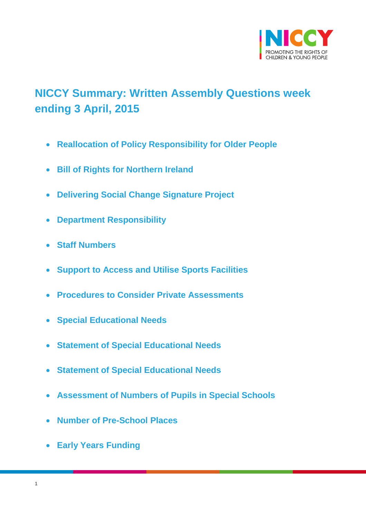

# <span id="page-0-0"></span>**NICCY Summary: Written Assembly Questions week ending 3 April, 2015**

- **[Reallocation of Policy Responsibility for Older People](#page-3-0)**
- **[Bill of Rights for Northern Ireland](#page-3-1)**
- **[Delivering Social Change Signature Project](#page-4-0)**
- **[Department Responsibility](#page-4-1)**
- **[Staff Numbers](#page-5-0)**
- **[Support to Access and Utilise Sports Facilities](#page-8-0)**
- **[Procedures to Consider Private Assessments](#page-9-0)**
- **[Special Educational Needs](#page-9-1)**
- **[Statement of Special Educational Needs](#page-10-0)**
- **[Statement of Special Educational Needs](#page-13-0)**
- **[Assessment of Numbers of Pupils in Special Schools](#page-13-1)**
- **[Number of Pre-School Places](#page-14-0)**
- **[Early Years Funding](#page-14-1)**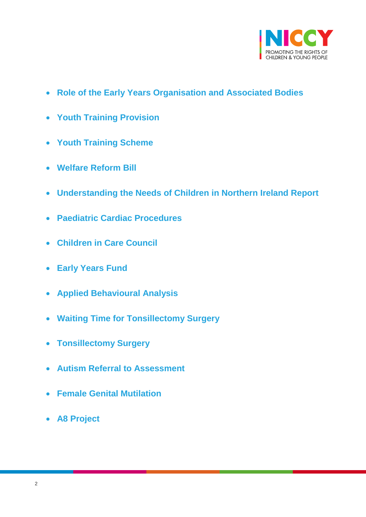

- **[Role of the Early Years Organisation and Associated Bodies](#page-15-0)**
- **[Youth Training Provision](#page-16-0)**
- **[Youth Training Scheme](#page-17-0)**
- **[Welfare Reform Bill](#page-20-0)**
- **[Understanding the Needs of Children in Northern Ireland Report](#page-21-0)**
- **[Paediatric Cardiac Procedures](#page-22-0)**
- **[Children in Care Council](#page-23-0)**
- **[Early Years Fund](#page-24-0)**
- **[Applied Behavioural Analysis](#page-24-1)**
- **[Waiting Time for Tonsillectomy Surgery](#page-25-0)**
- **[Tonsillectomy Surgery](#page-26-0)**
- **[Autism Referral to Assessment](#page-27-0)**
- **[Female Genital Mutilation](#page-28-0)**
- **[A8 Project](#page-29-0)**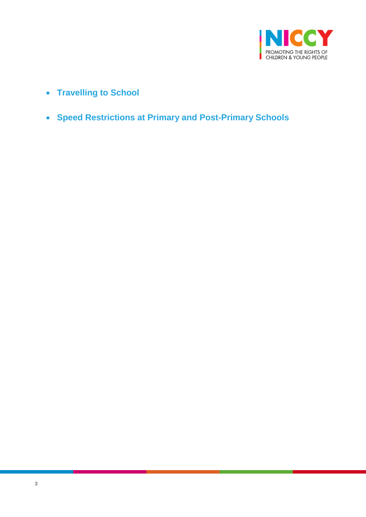

- **[Travelling to School](#page-29-1)**
- **[Speed Restrictions at Primary and Post-Primary Schools](#page-30-0)**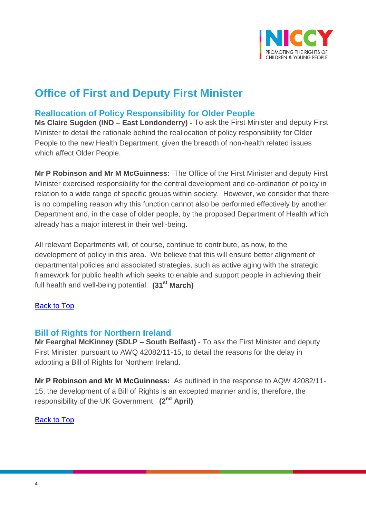

# **Office of First and Deputy First Minister**

## <span id="page-3-0"></span>**Reallocation of Policy Responsibility for Older People**

**Ms Claire Sugden (IND – East Londonderry) -** To ask the First Minister and deputy First Minister to detail the rationale behind the reallocation of policy responsibility for Older People to the new Health Department, given the breadth of non-health related issues which affect Older People.

**Mr P Robinson and Mr M McGuinness:** The Office of the First Minister and deputy First Minister exercised responsibility for the central development and co-ordination of policy in relation to a wide range of specific groups within society. However, we consider that there is no compelling reason why this function cannot also be performed effectively by another Department and, in the case of older people, by the proposed Department of Health which already has a major interest in their well-being.

All relevant Departments will, of course, continue to contribute, as now, to the development of policy in this area. We believe that this will ensure better alignment of departmental policies and associated strategies, such as active aging with the strategic framework for public health which seeks to enable and support people in achieving their full health and well-being potential. **(31st March)**

### [Back to Top](#page-0-0)

### <span id="page-3-1"></span>**Bill of Rights for Northern Ireland**

**Mr Fearghal McKinney (SDLP – South Belfast) -** To ask the First Minister and deputy First Minister, pursuant to AWQ 42082/11-15, to detail the reasons for the delay in adopting a Bill of Rights for Northern Ireland.

**Mr P Robinson and Mr M McGuinness:** As outlined in the response to AQW 42082/11- 15, the development of a Bill of Rights is an excepted manner and is, therefore, the responsibility of the UK Government. **(2nd April)**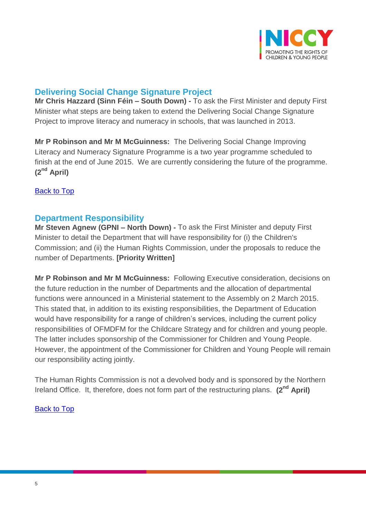

## <span id="page-4-0"></span>**Delivering Social Change Signature Project**

**Mr Chris Hazzard (Sinn Féin – South Down) -** To ask the First Minister and deputy First Minister what steps are being taken to extend the Delivering Social Change Signature Project to improve literacy and numeracy in schools, that was launched in 2013.

**Mr P Robinson and Mr M McGuinness:** The Delivering Social Change Improving Literacy and Numeracy Signature Programme is a two year programme scheduled to finish at the end of June 2015. We are currently considering the future of the programme. **(2nd April)**

[Back to Top](#page-0-0)

## <span id="page-4-1"></span>**Department Responsibility**

**Mr Steven Agnew (GPNI – North Down) -** To ask the First Minister and deputy First Minister to detail the Department that will have responsibility for (i) the Children's Commission; and (ii) the Human Rights Commission, under the proposals to reduce the number of Departments. **[Priority Written]**

**Mr P Robinson and Mr M McGuinness:** Following Executive consideration, decisions on the future reduction in the number of Departments and the allocation of departmental functions were announced in a Ministerial statement to the Assembly on 2 March 2015. This stated that, in addition to its existing responsibilities, the Department of Education would have responsibility for a range of children's services, including the current policy responsibilities of OFMDFM for the Childcare Strategy and for children and young people. The latter includes sponsorship of the Commissioner for Children and Young People. However, the appointment of the Commissioner for Children and Young People will remain our responsibility acting jointly.

The Human Rights Commission is not a devolved body and is sponsored by the Northern Ireland Office. It, therefore, does not form part of the restructuring plans. **(2nd April)**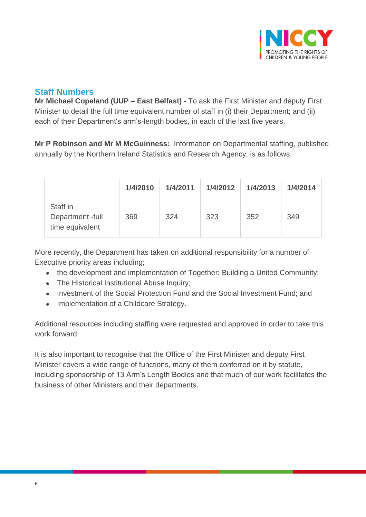

## <span id="page-5-0"></span>**Staff Numbers**

**Mr Michael Copeland (UUP – East Belfast) -** To ask the First Minister and deputy First Minister to detail the full time equivalent number of staff in (i) their Department; and (ii) each of their Department's arm's-length bodies, in each of the last five years.

**Mr P Robinson and Mr M McGuinness:** Information on Departmental staffing, published annually by the Northern Ireland Statistics and Research Agency, is as follows:

|                                                | 1/4/2010 | 1/4/2011 | 1/4/2012 | 1/4/2013 | 1/4/2014 |
|------------------------------------------------|----------|----------|----------|----------|----------|
| Staff in<br>Department-full<br>time equivalent | 369      | 324      | 323      | 352      | 349      |

More recently, the Department has taken on additional responsibility for a number of Executive priority areas including;

- the development and implementation of Together: Building a United Community;
- The Historical Institutional Abuse Inquiry;
- Investment of the Social Protection Fund and the Social Investment Fund: and
- Implementation of a Childcare Strategy.

Additional resources including staffing were requested and approved in order to take this work forward.

It is also important to recognise that the Office of the First Minister and deputy First Minister covers a wide range of functions, many of them conferred on it by statute, including sponsorship of 13 Arm's Length Bodies and that much of our work facilitates the business of other Ministers and their departments.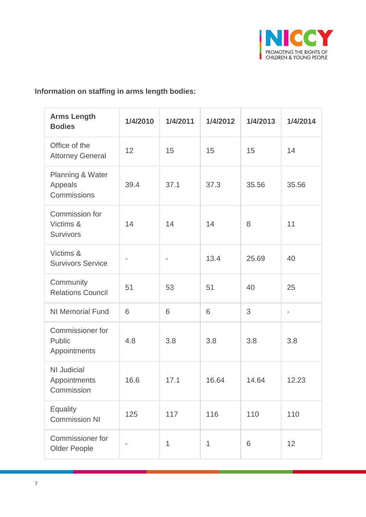

## **Information on staffing in arms length bodies:**

| <b>Arms Length</b><br><b>Bodies</b>               | 1/4/2010 | 1/4/2011 | 1/4/2012 | 1/4/2013 | 1/4/2014       |
|---------------------------------------------------|----------|----------|----------|----------|----------------|
| Office of the<br><b>Attorney General</b>          | 12       | 15       | 15       | 15       | 14             |
| Planning & Water<br>Appeals<br>Commissions        | 39.4     | 37.1     | 37.3     | 35.56    | 35.56          |
| Commission for<br>Victims &<br><b>Survivors</b>   | 14       | 14       | 14       | 8        | 11             |
| Victims &<br><b>Survivors Service</b>             |          |          | 13.4     | 25.69    | 40             |
| Community<br><b>Relations Council</b>             | 51       | 53       | 51       | 40       | 25             |
| <b>NI Memorial Fund</b>                           | 6        | 6        | 6        | 3        | $\overline{a}$ |
| <b>Commissioner for</b><br>Public<br>Appointments | 4.8      | 3.8      | 3.8      | 3.8      | 3.8            |
| <b>NI Judicial</b><br>Appointments<br>Commission  | 16.6     | 17.1     | 16.64    | 14.64    | 12.23          |
| <b>Equality</b><br><b>Commission NI</b>           | 125      | 117      | 116      | 110      | 110            |
| <b>Commissioner for</b><br><b>Older People</b>    |          | 1        | 1        | 6        | 12             |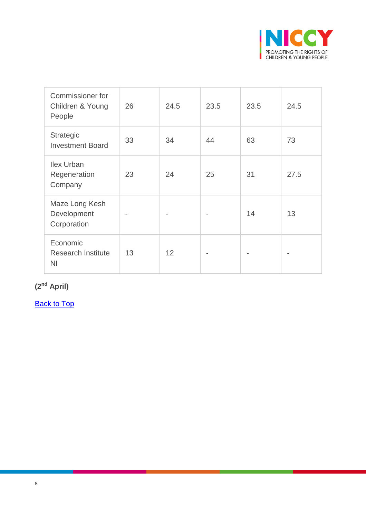

| Commissioner for<br>Children & Young<br>People          | 26 | 24.5 | 23.5 | 23.5 | 24.5 |
|---------------------------------------------------------|----|------|------|------|------|
| Strategic<br><b>Investment Board</b>                    | 33 | 34   | 44   | 63   | 73   |
| <b>Ilex Urban</b><br>Regeneration<br>Company            | 23 | 24   | 25   | 31   | 27.5 |
| Maze Long Kesh<br>Development<br>Corporation            |    |      |      | 14   | 13   |
| Economic<br><b>Research Institute</b><br>N <sub>1</sub> | 13 | 12   |      |      |      |

**(2nd April)**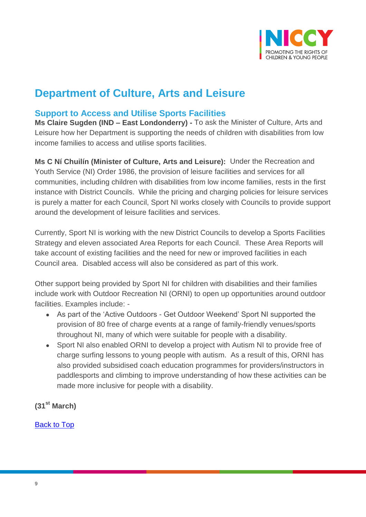

# **Department of Culture, Arts and Leisure**

## <span id="page-8-0"></span>**Support to Access and Utilise Sports Facilities**

**Ms Claire Sugden (IND – East Londonderry) -** To ask the Minister of Culture, Arts and Leisure how her Department is supporting the needs of children with disabilities from low income families to access and utilise sports facilities.

**Ms C Ní Chuilín (Minister of Culture, Arts and Leisure):** Under the Recreation and Youth Service (NI) Order 1986, the provision of leisure facilities and services for all communities, including children with disabilities from low income families, rests in the first instance with District Councils. While the pricing and charging policies for leisure services is purely a matter for each Council, Sport NI works closely with Councils to provide support around the development of leisure facilities and services.

Currently, Sport NI is working with the new District Councils to develop a Sports Facilities Strategy and eleven associated Area Reports for each Council. These Area Reports will take account of existing facilities and the need for new or improved facilities in each Council area. Disabled access will also be considered as part of this work.

Other support being provided by Sport NI for children with disabilities and their families include work with Outdoor Recreation NI (ORNI) to open up opportunities around outdoor facilities. Examples include: -

- As part of the 'Active Outdoors Get Outdoor Weekend' Sport NI supported the provision of 80 free of charge events at a range of family-friendly venues/sports throughout NI, many of which were suitable for people with a disability.
- Sport NI also enabled ORNI to develop a project with Autism NI to provide free of charge surfing lessons to young people with autism. As a result of this, ORNI has also provided subsidised coach education programmes for providers/instructors in paddlesports and climbing to improve understanding of how these activities can be made more inclusive for people with a disability.

**(31st March)**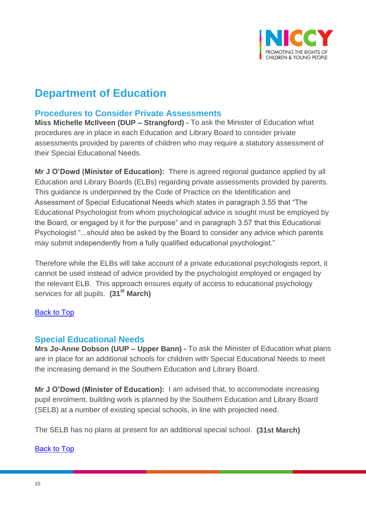

# **Department of Education**

## <span id="page-9-0"></span>**Procedures to Consider Private Assessments**

**Miss Michelle McIlveen (DUP – Strangford) -** To ask the Minister of Education what procedures are in place in each Education and Library Board to consider private assessments provided by parents of children who may require a statutory assessment of their Special Educational Needs.

**Mr J O'Dowd (Minister of Education):** There is agreed regional guidance applied by all Education and Library Boards (ELBs) regarding private assessments provided by parents. This guidance is underpinned by the Code of Practice on the Identification and Assessment of Special Educational Needs which states in paragraph 3.55 that "The Educational Psychologist from whom psychological advice is sought must be employed by the Board, or engaged by it for the purpose" and in paragraph 3.57 that this Educational Psychologist "...should also be asked by the Board to consider any advice which parents may submit independently from a fully qualified educational psychologist."

Therefore while the ELBs will take account of a private educational psychologists report, it cannot be used instead of advice provided by the psychologist employed or engaged by the relevant ELB. This approach ensures equity of access to educational psychology services for all pupils. **(31st March)**

#### [Back to Top](#page-0-0)

### <span id="page-9-1"></span>**Special Educational Needs**

**Mrs Jo-Anne Dobson (UUP – Upper Bann) -** To ask the Minister of Education what plans are in place for an additional schools for children with Special Educational Needs to meet the increasing demand in the Southern Education and Library Board.

**Mr J O'Dowd (Minister of Education):** I am advised that, to accommodate increasing pupil enrolment, building work is planned by the Southern Education and Library Board (SELB) at a number of existing special schools, in line with projected need.

The SELB has no plans at present for an additional special school. **(31st March)**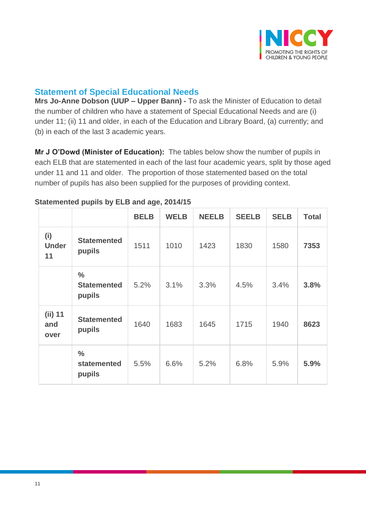

## <span id="page-10-0"></span>**Statement of Special Educational Needs**

**Mrs Jo-Anne Dobson (UUP – Upper Bann) -** To ask the Minister of Education to detail the number of children who have a statement of Special Educational Needs and are (i) under 11; (ii) 11 and older, in each of the Education and Library Board, (a) currently; and (b) in each of the last 3 academic years.

**Mr J O'Dowd (Minister of Education):** The tables below show the number of pupils in each ELB that are statemented in each of the last four academic years, split by those aged under 11 and 11 and older. The proportion of those statemented based on the total number of pupils has also been supplied for the purposes of providing context.

|                           |                                               | <b>BELB</b> | <b>WELB</b> | <b>NEELB</b> | <b>SEELB</b> | <b>SELB</b> | <b>Total</b> |
|---------------------------|-----------------------------------------------|-------------|-------------|--------------|--------------|-------------|--------------|
| (i)<br><b>Under</b><br>11 | <b>Statemented</b><br>pupils                  | 1511        | 1010        | 1423         | 1830         | 1580        | 7353         |
|                           | $\frac{0}{0}$<br><b>Statemented</b><br>pupils | 5.2%        | 3.1%        | 3.3%         | 4.5%         | 3.4%        | 3.8%         |
| $(ii)$ 11<br>and<br>over  | <b>Statemented</b><br>pupils                  | 1640        | 1683        | 1645         | 1715         | 1940        | 8623         |
|                           | $\frac{0}{0}$<br>statemented<br>pupils        | 5.5%        | 6.6%        | 5.2%         | 6.8%         | 5.9%        | 5.9%         |

#### **Statemented pupils by ELB and age, 2014/15**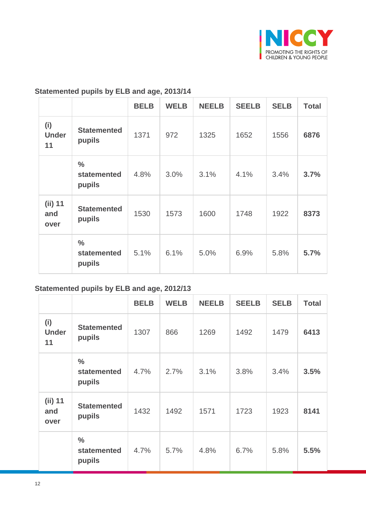

### **Statemented pupils by ELB and age, 2013/14**

|                           |                                        | <b>BELB</b> | <b>WELB</b> | <b>NEELB</b> | <b>SEELB</b> | <b>SELB</b> | <b>Total</b> |
|---------------------------|----------------------------------------|-------------|-------------|--------------|--------------|-------------|--------------|
| (i)<br><b>Under</b><br>11 | <b>Statemented</b><br>pupils           | 1371        | 972         | 1325         | 1652         | 1556        | 6876         |
|                           | $\frac{0}{0}$<br>statemented<br>pupils | 4.8%        | 3.0%        | 3.1%         | 4.1%         | 3.4%        | 3.7%         |
| $(ii)$ 11<br>and<br>over  | <b>Statemented</b><br>pupils           | 1530        | 1573        | 1600         | 1748         | 1922        | 8373         |
|                           | $\frac{0}{0}$<br>statemented<br>pupils | 5.1%        | 6.1%        | 5.0%         | 6.9%         | 5.8%        | 5.7%         |

## **Statemented pupils by ELB and age, 2012/13**

|                           |                                        | <b>BELB</b> | <b>WELB</b> | <b>NEELB</b> | <b>SEELB</b> | <b>SELB</b> | <b>Total</b> |
|---------------------------|----------------------------------------|-------------|-------------|--------------|--------------|-------------|--------------|
| (i)<br><b>Under</b><br>11 | <b>Statemented</b><br>pupils           | 1307        | 866         | 1269         | 1492         | 1479        | 6413         |
|                           | $\frac{0}{0}$<br>statemented<br>pupils | 4.7%        | 2.7%        | 3.1%         | 3.8%         | 3.4%        | 3.5%         |
| $(ii)$ 11<br>and<br>over  | <b>Statemented</b><br>pupils           | 1432        | 1492        | 1571         | 1723         | 1923        | 8141         |
|                           | $\frac{0}{0}$<br>statemented<br>pupils | 4.7%        | 5.7%        | 4.8%         | 6.7%         | 5.8%        | 5.5%         |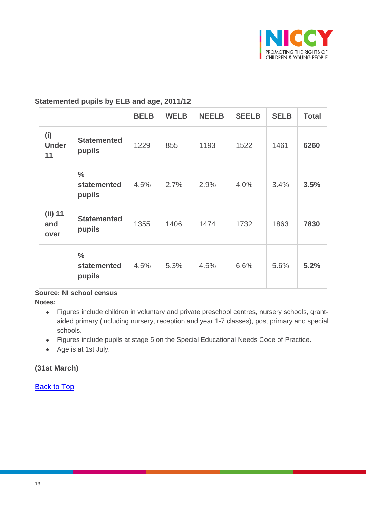

#### **Statemented pupils by ELB and age, 2011/12**

|                           |                                        | <b>BELB</b> | <b>WELB</b> | <b>NEELB</b> | <b>SEELB</b> | <b>SELB</b> | <b>Total</b> |
|---------------------------|----------------------------------------|-------------|-------------|--------------|--------------|-------------|--------------|
| (i)<br><b>Under</b><br>11 | <b>Statemented</b><br>pupils           | 1229        | 855         | 1193         | 1522         | 1461        | 6260         |
|                           | $\frac{0}{0}$<br>statemented<br>pupils | 4.5%        | 2.7%        | 2.9%         | 4.0%         | 3.4%        | 3.5%         |
| $(iii)$ 11<br>and<br>over | <b>Statemented</b><br>pupils           | 1355        | 1406        | 1474         | 1732         | 1863        | 7830         |
|                           | $\frac{0}{0}$<br>statemented<br>pupils | 4.5%        | 5.3%        | 4.5%         | 6.6%         | 5.6%        | 5.2%         |

#### **Source: NI school census**

**Notes:**

- Figures include children in voluntary and private preschool centres, nursery schools, grantaided primary (including nursery, reception and year 1-7 classes), post primary and special schools.
- Figures include pupils at stage 5 on the Special Educational Needs Code of Practice.
- Age is at 1st July.

#### **(31st March)**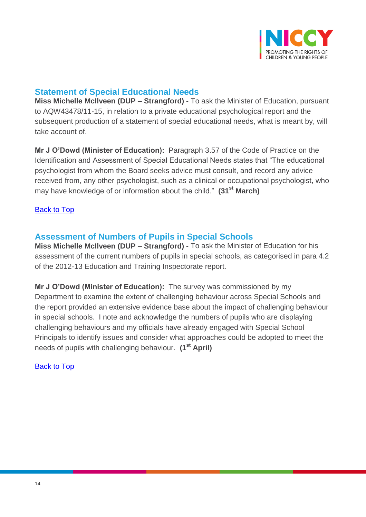

## <span id="page-13-0"></span>**Statement of Special Educational Needs**

**Miss Michelle McIlveen (DUP – Strangford) -** To ask the Minister of Education, pursuant to AQW43478/11-15, in relation to a private educational psychological report and the subsequent production of a statement of special educational needs, what is meant by, will take account of.

**Mr J O'Dowd (Minister of Education):** Paragraph 3.57 of the Code of Practice on the Identification and Assessment of Special Educational Needs states that "The educational psychologist from whom the Board seeks advice must consult, and record any advice received from, any other psychologist, such as a clinical or occupational psychologist, who may have knowledge of or information about the child." **(31st March)**

#### [Back to Top](#page-0-0)

### <span id="page-13-1"></span>**Assessment of Numbers of Pupils in Special Schools**

**Miss Michelle McIlveen (DUP – Strangford) -** To ask the Minister of Education for his assessment of the current numbers of pupils in special schools, as categorised in para 4.2 of the 2012-13 Education and Training Inspectorate report.

**Mr J O'Dowd (Minister of Education):** The survey was commissioned by my Department to examine the extent of challenging behaviour across Special Schools and the report provided an extensive evidence base about the impact of challenging behaviour in special schools. I note and acknowledge the numbers of pupils who are displaying challenging behaviours and my officials have already engaged with Special School Principals to identify issues and consider what approaches could be adopted to meet the needs of pupils with challenging behaviour. **(1st April)**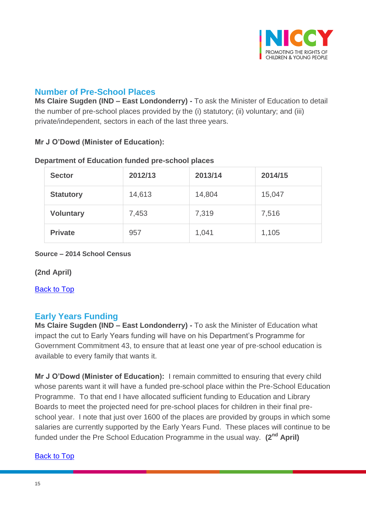

## <span id="page-14-0"></span>**Number of Pre-School Places**

**Ms Claire Sugden (IND – East Londonderry) -** To ask the Minister of Education to detail the number of pre-school places provided by the (i) statutory; (ii) voluntary; and (iii) private/independent, sectors in each of the last three years.

#### **Mr J O'Dowd (Minister of Education):**

| <b>Sector</b>    | 2012/13 | 2013/14 | 2014/15 |
|------------------|---------|---------|---------|
| <b>Statutory</b> | 14,613  | 14,804  | 15,047  |
| <b>Voluntary</b> | 7,453   | 7,319   | 7,516   |
| <b>Private</b>   | 957     | 1,041   | 1,105   |

#### **Department of Education funded pre-school places**

#### **Source – 2014 School Census**

**(2nd April)**

[Back to Top](#page-0-0)

## <span id="page-14-1"></span>**Early Years Funding**

**Ms Claire Sugden (IND – East Londonderry) -** To ask the Minister of Education what impact the cut to Early Years funding will have on his Department's Programme for Government Commitment 43, to ensure that at least one year of pre-school education is available to every family that wants it.

**Mr J O'Dowd (Minister of Education):** I remain committed to ensuring that every child whose parents want it will have a funded pre-school place within the Pre-School Education Programme. To that end I have allocated sufficient funding to Education and Library Boards to meet the projected need for pre-school places for children in their final preschool year. I note that just over 1600 of the places are provided by groups in which some salaries are currently supported by the Early Years Fund. These places will continue to be funded under the Pre School Education Programme in the usual way. **(2nd April)**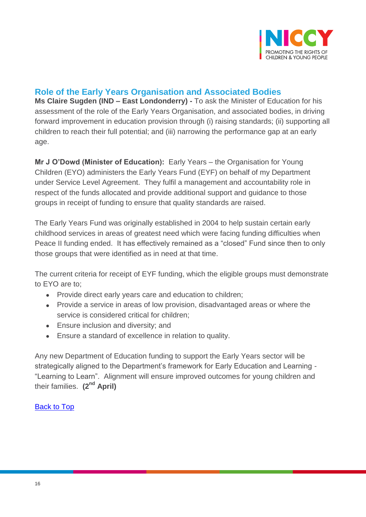

## <span id="page-15-0"></span>**Role of the Early Years Organisation and Associated Bodies**

**Ms Claire Sugden (IND – East Londonderry) -** To ask the Minister of Education for his assessment of the role of the Early Years Organisation, and associated bodies, in driving forward improvement in education provision through (i) raising standards; (ii) supporting all children to reach their full potential; and (iii) narrowing the performance gap at an early age.

**Mr J O'Dowd (Minister of Education):** Early Years – the Organisation for Young Children (EYO) administers the Early Years Fund (EYF) on behalf of my Department under Service Level Agreement. They fulfil a management and accountability role in respect of the funds allocated and provide additional support and guidance to those groups in receipt of funding to ensure that quality standards are raised.

The Early Years Fund was originally established in 2004 to help sustain certain early childhood services in areas of greatest need which were facing funding difficulties when Peace II funding ended. It has effectively remained as a "closed" Fund since then to only those groups that were identified as in need at that time.

The current criteria for receipt of EYF funding, which the eligible groups must demonstrate to EYO are to;

- Provide direct early years care and education to children;
- Provide a service in areas of low provision, disadvantaged areas or where the service is considered critical for children;
- **Ensure inclusion and diversity; and**
- Ensure a standard of excellence in relation to quality.

Any new Department of Education funding to support the Early Years sector will be strategically aligned to the Department's framework for Early Education and Learning - "Learning to Learn". Alignment will ensure improved outcomes for young children and their families. **(2nd April)**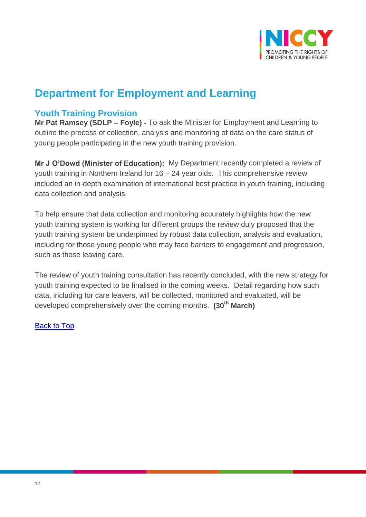

# **Department for Employment and Learning**

## <span id="page-16-0"></span>**Youth Training Provision**

**Mr Pat Ramsey (SDLP – Foyle) -** To ask the Minister for Employment and Learning to outline the process of collection, analysis and monitoring of data on the care status of young people participating in the new youth training provision.

**Mr J O'Dowd (Minister of Education):** My Department recently completed a review of youth training in Northern Ireland for 16 – 24 year olds. This comprehensive review included an in-depth examination of international best practice in youth training, including data collection and analysis.

To help ensure that data collection and monitoring accurately highlights how the new youth training system is working for different groups the review duly proposed that the youth training system be underpinned by robust data collection, analysis and evaluation, including for those young people who may face barriers to engagement and progression, such as those leaving care.

The review of youth training consultation has recently concluded, with the new strategy for youth training expected to be finalised in the coming weeks. Detail regarding how such data, including for care leavers, will be collected, monitored and evaluated, will be developed comprehensively over the coming months. **(30th March)**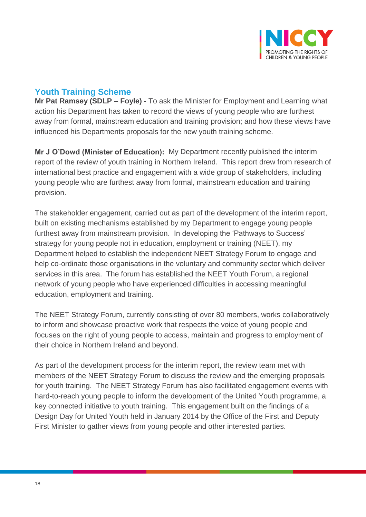

## <span id="page-17-0"></span>**Youth Training Scheme**

**Mr Pat Ramsey (SDLP – Foyle) -** To ask the Minister for Employment and Learning what action his Department has taken to record the views of young people who are furthest away from formal, mainstream education and training provision; and how these views have influenced his Departments proposals for the new youth training scheme.

**Mr J O'Dowd (Minister of Education):** My Department recently published the interim report of the review of youth training in Northern Ireland. This report drew from research of international best practice and engagement with a wide group of stakeholders, including young people who are furthest away from formal, mainstream education and training provision.

The stakeholder engagement, carried out as part of the development of the interim report, built on existing mechanisms established by my Department to engage young people furthest away from mainstream provision. In developing the 'Pathways to Success' strategy for young people not in education, employment or training (NEET), my Department helped to establish the independent NEET Strategy Forum to engage and help co-ordinate those organisations in the voluntary and community sector which deliver services in this area. The forum has established the NEET Youth Forum, a regional network of young people who have experienced difficulties in accessing meaningful education, employment and training.

The NEET Strategy Forum, currently consisting of over 80 members, works collaboratively to inform and showcase proactive work that respects the voice of young people and focuses on the right of young people to access, maintain and progress to employment of their choice in Northern Ireland and beyond.

As part of the development process for the interim report, the review team met with members of the NEET Strategy Forum to discuss the review and the emerging proposals for youth training. The NEET Strategy Forum has also facilitated engagement events with hard-to-reach young people to inform the development of the United Youth programme, a key connected initiative to youth training. This engagement built on the findings of a Design Day for United Youth held in January 2014 by the Office of the First and Deputy First Minister to gather views from young people and other interested parties.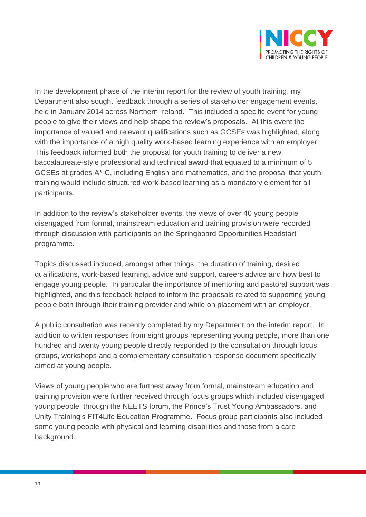

In the development phase of the interim report for the review of youth training, my Department also sought feedback through a series of stakeholder engagement events, held in January 2014 across Northern Ireland. This included a specific event for young people to give their views and help shape the review's proposals. At this event the importance of valued and relevant qualifications such as GCSEs was highlighted, along with the importance of a high quality work-based learning experience with an employer. This feedback informed both the proposal for youth training to deliver a new, baccalaureate-style professional and technical award that equated to a minimum of 5 GCSEs at grades A\*-C, including English and mathematics, and the proposal that youth training would include structured work-based learning as a mandatory element for all participants.

In addition to the review's stakeholder events, the views of over 40 young people disengaged from formal, mainstream education and training provision were recorded through discussion with participants on the Springboard Opportunities Headstart programme.

Topics discussed included, amongst other things, the duration of training, desired qualifications, work-based learning, advice and support, careers advice and how best to engage young people. In particular the importance of mentoring and pastoral support was highlighted, and this feedback helped to inform the proposals related to supporting young people both through their training provider and while on placement with an employer.

A public consultation was recently completed by my Department on the interim report. In addition to written responses from eight groups representing young people, more than one hundred and twenty young people directly responded to the consultation through focus groups, workshops and a complementary consultation response document specifically aimed at young people.

Views of young people who are furthest away from formal, mainstream education and training provision were further received through focus groups which included disengaged young people, through the NEETS forum, the Prince's Trust Young Ambassadors, and Unity Training's FIT4Life Education Programme. Focus group participants also included some young people with physical and learning disabilities and those from a care background.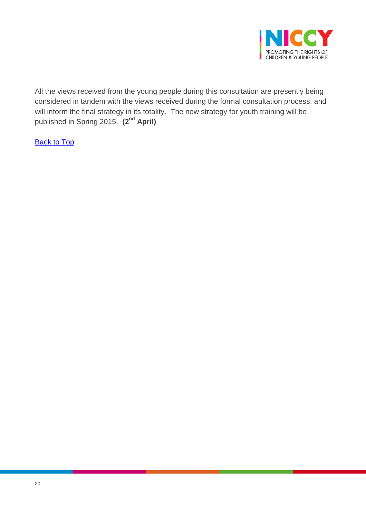

All the views received from the young people during this consultation are presently being considered in tandem with the views received during the formal consultation process, and will inform the final strategy in its totality. The new strategy for youth training will be published in Spring 2015. **(2nd April)**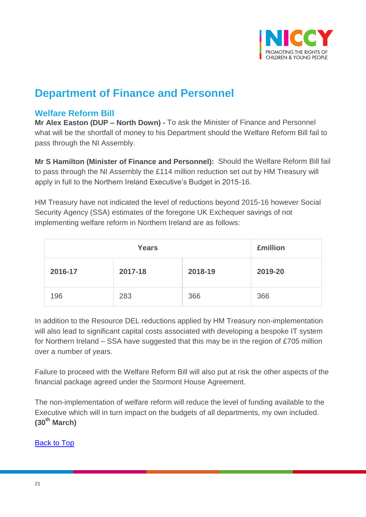

# **Department of Finance and Personnel**

## <span id="page-20-0"></span>**Welfare Reform Bill**

**Mr Alex Easton (DUP – North Down) -** To ask the Minister of Finance and Personnel what will be the shortfall of money to his Department should the Welfare Reform Bill fail to pass through the NI Assembly.

**Mr S Hamilton (Minister of Finance and Personnel):** Should the Welfare Reform Bill fail to pass through the NI Assembly the £114 million reduction set out by HM Treasury will apply in full to the Northern Ireland Executive's Budget in 2015-16.

HM Treasury have not indicated the level of reductions beyond 2015-16 however Social Security Agency (SSA) estimates of the foregone UK Exchequer savings of not implementing welfare reform in Northern Ireland are as follows:

|         | <b>£million</b> |         |         |
|---------|-----------------|---------|---------|
| 2016-17 | 2017-18         | 2018-19 | 2019-20 |
| 196     | 283             | 366     | 366     |

In addition to the Resource DEL reductions applied by HM Treasury non-implementation will also lead to significant capital costs associated with developing a bespoke IT system for Northern Ireland – SSA have suggested that this may be in the region of £705 million over a number of years.

Failure to proceed with the Welfare Reform Bill will also put at risk the other aspects of the financial package agreed under the Stormont House Agreement.

The non-implementation of welfare reform will reduce the level of funding available to the Executive which will in turn impact on the budgets of all departments, my own included. **(30th March)**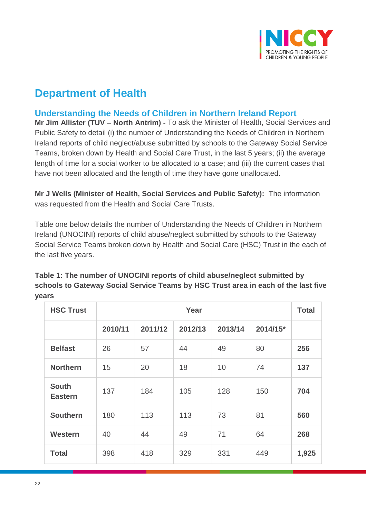

## **Department of Health**

## <span id="page-21-0"></span>**Understanding the Needs of Children in Northern Ireland Report**

**Mr Jim Allister (TUV – North Antrim) -** To ask the Minister of Health, Social Services and Public Safety to detail (i) the number of Understanding the Needs of Children in Northern Ireland reports of child neglect/abuse submitted by schools to the Gateway Social Service Teams, broken down by Health and Social Care Trust, in the last 5 years; (ii) the average length of time for a social worker to be allocated to a case; and (iii) the current cases that have not been allocated and the length of time they have gone unallocated.

**Mr J Wells (Minister of Health, Social Services and Public Safety):** The information was requested from the Health and Social Care Trusts.

Table one below details the number of Understanding the Needs of Children in Northern Ireland (UNOCINI) reports of child abuse/neglect submitted by schools to the Gateway Social Service Teams broken down by Health and Social Care (HSC) Trust in the each of the last five years.

| <b>HSC Trust</b>               |         | Year    |         |         |          |       |
|--------------------------------|---------|---------|---------|---------|----------|-------|
|                                | 2010/11 | 2011/12 | 2012/13 | 2013/14 | 2014/15* |       |
| <b>Belfast</b>                 | 26      | 57      | 44      | 49      | 80       | 256   |
| <b>Northern</b>                | 15      | 20      | 18      | 10      | 74       | 137   |
| <b>South</b><br><b>Eastern</b> | 137     | 184     | 105     | 128     | 150      | 704   |
| <b>Southern</b>                | 180     | 113     | 113     | 73      | 81       | 560   |
| Western                        | 40      | 44      | 49      | 71      | 64       | 268   |
| <b>Total</b>                   | 398     | 418     | 329     | 331     | 449      | 1,925 |

**Table 1: The number of UNOCINI reports of child abuse/neglect submitted by schools to Gateway Social Service Teams by HSC Trust area in each of the last five years**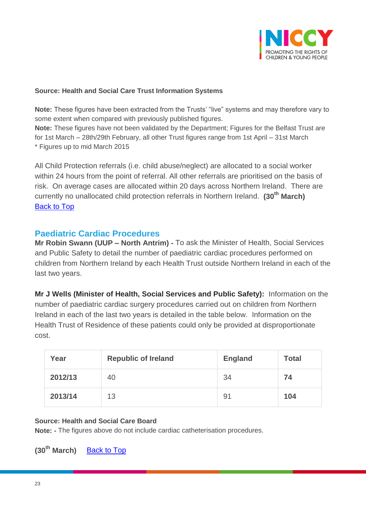

#### **Source: Health and Social Care Trust Information Systems**

**Note:** These figures have been extracted from the Trusts' "live" systems and may therefore vary to some extent when compared with previously published figures.

**Note:** These figures have not been validated by the Department; Figures for the Belfast Trust are for 1st March – 28th/29th February, all other Trust figures range from 1st April – 31st March \* Figures up to mid March 2015

All Child Protection referrals (i.e. child abuse/neglect) are allocated to a social worker within 24 hours from the point of referral. All other referrals are prioritised on the basis of risk. On average cases are allocated within 20 days across Northern Ireland. There are currently no unallocated child protection referrals in Northern Ireland. **(30th March)** [Back to Top](#page-0-0)

#### <span id="page-22-0"></span>**Paediatric Cardiac Procedures**

**Mr Robin Swann (UUP – North Antrim) -** To ask the Minister of Health, Social Services and Public Safety to detail the number of paediatric cardiac procedures performed on children from Northern Ireland by each Health Trust outside Northern Ireland in each of the last two years.

**Mr J Wells (Minister of Health, Social Services and Public Safety):** Information on the number of paediatric cardiac surgery procedures carried out on children from Northern Ireland in each of the last two years is detailed in the table below. Information on the Health Trust of Residence of these patients could only be provided at disproportionate cost.

| Year    | <b>Republic of Ireland</b> | <b>England</b> | <b>Total</b> |
|---------|----------------------------|----------------|--------------|
| 2012/13 | 40                         | 34             | 74           |
| 2013/14 | 13                         | 91             | 104          |

#### **Source: Health and Social Care Board**

**Note: -** The figures above do not include cardiac catheterisation procedures.

**(30th March)** [Back to Top](#page-0-0)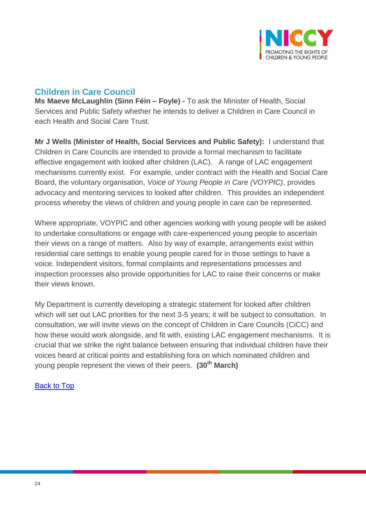

## <span id="page-23-0"></span>**Children in Care Council**

**Ms Maeve McLaughlin (Sinn Féin – Foyle) -** To ask the Minister of Health, Social Services and Public Safety whether he intends to deliver a Children in Care Council in each Health and Social Care Trust.

**Mr J Wells (Minister of Health, Social Services and Public Safety):** I understand that Children in Care Councils are intended to provide a formal mechanism to facilitate effective engagement with looked after children (LAC). A range of LAC engagement mechanisms currently exist. For example, under contract with the Health and Social Care Board, the voluntary organisation, *Voice of Young People in Care (VOYPIC)*, provides advocacy and mentoring services to looked after children. This provides an independent process whereby the views of children and young people in care can be represented.

Where appropriate, VOYPIC and other agencies working with young people will be asked to undertake consultations or engage with care-experienced young people to ascertain their views on a range of matters. Also by way of example, arrangements exist within residential care settings to enable young people cared for in those settings to have a voice. Independent visitors, formal complaints and representations processes and inspection processes also provide opportunities for LAC to raise their concerns or make their views known.

My Department is currently developing a strategic statement for looked after children which will set out LAC priorities for the next 3-5 years; it will be subject to consultation. In consultation, we will invite views on the concept of Children in Care Councils (CiCC) and how these would work alongside, and fit with, existing LAC engagement mechanisms. It is crucial that we strike the right balance between ensuring that individual children have their voices heard at critical points and establishing fora on which nominated children and young people represent the views of their peers. **(30th March)**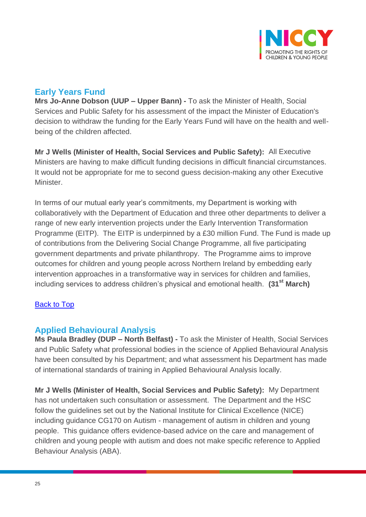

## <span id="page-24-0"></span>**Early Years Fund**

**Mrs Jo-Anne Dobson (UUP – Upper Bann) -** To ask the Minister of Health, Social Services and Public Safety for his assessment of the impact the Minister of Education's decision to withdraw the funding for the Early Years Fund will have on the health and wellbeing of the children affected.

**Mr J Wells (Minister of Health, Social Services and Public Safety):** All Executive Ministers are having to make difficult funding decisions in difficult financial circumstances. It would not be appropriate for me to second guess decision-making any other Executive Minister.

In terms of our mutual early year's commitments, my Department is working with collaboratively with the Department of Education and three other departments to deliver a range of new early intervention projects under the Early Intervention Transformation Programme (EITP). The EITP is underpinned by a £30 million Fund. The Fund is made up of contributions from the Delivering Social Change Programme, all five participating government departments and private philanthropy. The Programme aims to improve outcomes for children and young people across Northern Ireland by embedding early intervention approaches in a transformative way in services for children and families, including services to address children's physical and emotional health. **(31st March)**

### <span id="page-24-1"></span>**[Back to Top](#page-0-0)**

### **Applied Behavioural Analysis**

**Ms Paula Bradley (DUP – North Belfast) -** To ask the Minister of Health, Social Services and Public Safety what professional bodies in the science of Applied Behavioural Analysis have been consulted by his Department; and what assessment his Department has made of international standards of training in Applied Behavioural Analysis locally.

**Mr J Wells (Minister of Health, Social Services and Public Safety):** My Department has not undertaken such consultation or assessment. The Department and the HSC follow the guidelines set out by the National Institute for Clinical Excellence (NICE) including guidance CG170 on Autism - management of autism in children and young people. This guidance offers evidence-based advice on the care and management of children and young people with autism and does not make specific reference to Applied Behaviour Analysis (ABA).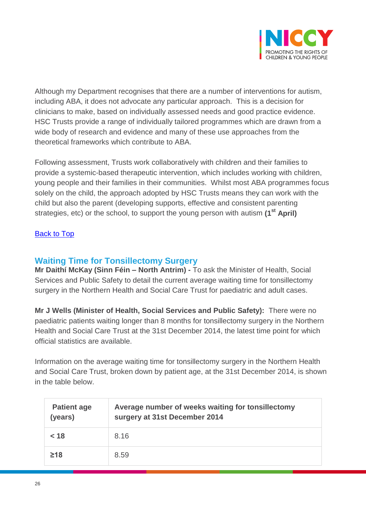

Although my Department recognises that there are a number of interventions for autism, including ABA, it does not advocate any particular approach. This is a decision for clinicians to make, based on individually assessed needs and good practice evidence. HSC Trusts provide a range of individually tailored programmes which are drawn from a wide body of research and evidence and many of these use approaches from the theoretical frameworks which contribute to ABA.

Following assessment, Trusts work collaboratively with children and their families to provide a systemic-based therapeutic intervention, which includes working with children, young people and their families in their communities. Whilst most ABA programmes focus solely on the child, the approach adopted by HSC Trusts means they can work with the child but also the parent (developing supports, effective and consistent parenting strategies, etc) or the school, to support the young person with autism **(1st April)**

#### [Back to Top](#page-0-0)

## <span id="page-25-0"></span>**Waiting Time for Tonsillectomy Surgery**

**Mr Daithí McKay (Sinn Féin – North Antrim) -** To ask the Minister of Health, Social Services and Public Safety to detail the current average waiting time for tonsillectomy surgery in the Northern Health and Social Care Trust for paediatric and adult cases.

**Mr J Wells (Minister of Health, Social Services and Public Safety):** There were no paediatric patients waiting longer than 8 months for tonsillectomy surgery in the Northern Health and Social Care Trust at the 31st December 2014, the latest time point for which official statistics are available.

Information on the average waiting time for tonsillectomy surgery in the Northern Health and Social Care Trust, broken down by patient age, at the 31st December 2014, is shown in the table below.

| <b>Patient age</b><br>(years) | Average number of weeks waiting for tonsillectomy<br>surgery at 31st December 2014 |
|-------------------------------|------------------------------------------------------------------------------------|
| < 18                          | 8.16                                                                               |
| $\geq 18$                     | 8.59                                                                               |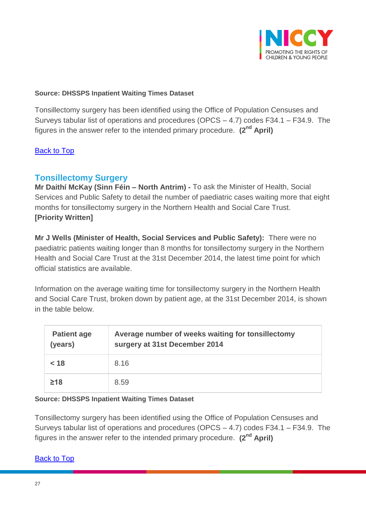

#### **Source: DHSSPS Inpatient Waiting Times Dataset**

Tonsillectomy surgery has been identified using the Office of Population Censuses and Surveys tabular list of operations and procedures (OPCS – 4.7) codes F34.1 – F34.9. The figures in the answer refer to the intended primary procedure. **(2nd April)**

#### [Back to Top](#page-0-0)

## <span id="page-26-0"></span>**Tonsillectomy Surgery**

**Mr Daithí McKay (Sinn Féin – North Antrim) -** To ask the Minister of Health, Social Services and Public Safety to detail the number of paediatric cases waiting more that eight months for tonsillectomy surgery in the Northern Health and Social Care Trust. **[Priority Written]**

**Mr J Wells (Minister of Health, Social Services and Public Safety):** There were no paediatric patients waiting longer than 8 months for tonsillectomy surgery in the Northern Health and Social Care Trust at the 31st December 2014, the latest time point for which official statistics are available.

Information on the average waiting time for tonsillectomy surgery in the Northern Health and Social Care Trust, broken down by patient age, at the 31st December 2014, is shown in the table below.

| <b>Patient age</b><br>(years) | Average number of weeks waiting for tonsillectomy<br>surgery at 31st December 2014 |
|-------------------------------|------------------------------------------------------------------------------------|
| < 18                          | 8.16                                                                               |
| $\geq 18$                     | 8.59                                                                               |

#### **Source: DHSSPS Inpatient Waiting Times Dataset**

Tonsillectomy surgery has been identified using the Office of Population Censuses and Surveys tabular list of operations and procedures (OPCS – 4.7) codes F34.1 – F34.9. The figures in the answer refer to the intended primary procedure. **(2nd April)**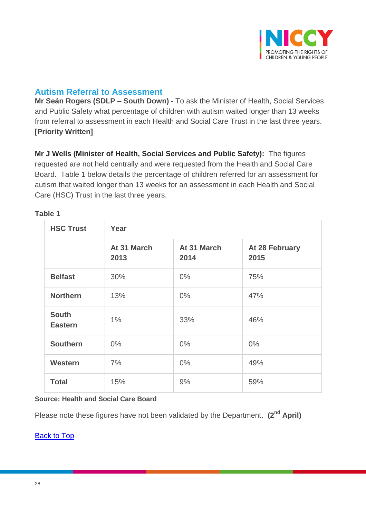

## <span id="page-27-0"></span>**Autism Referral to Assessment**

**Mr Seán Rogers (SDLP – South Down) -** To ask the Minister of Health, Social Services and Public Safety what percentage of children with autism waited longer than 13 weeks from referral to assessment in each Health and Social Care Trust in the last three years. **[Priority Written]**

**Mr J Wells (Minister of Health, Social Services and Public Safety):** The figures requested are not held centrally and were requested from the Health and Social Care Board. Table 1 below details the percentage of children referred for an assessment for autism that waited longer than 13 weeks for an assessment in each Health and Social Care (HSC) Trust in the last three years.

| <b>HSC Trust</b>               | Year                |                     |                        |
|--------------------------------|---------------------|---------------------|------------------------|
|                                | At 31 March<br>2013 | At 31 March<br>2014 | At 28 February<br>2015 |
| <b>Belfast</b>                 | 30%                 | $0\%$               | 75%                    |
| <b>Northern</b>                | 13%                 | $0\%$               | 47%                    |
| <b>South</b><br><b>Eastern</b> | 1%                  | 33%                 | 46%                    |
| <b>Southern</b>                | $0\%$               | $0\%$               | $0\%$                  |
| <b>Western</b>                 | 7%                  | $0\%$               | 49%                    |
| <b>Total</b>                   | 15%                 | 9%                  | 59%                    |

#### **Table 1**

#### **Source: Health and Social Care Board**

Please note these figures have not been validated by the Department. **(2nd April)**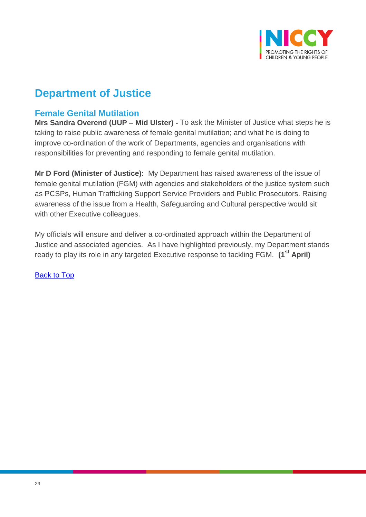

# **Department of Justice**

## <span id="page-28-0"></span>**Female Genital Mutilation**

**Mrs Sandra Overend (UUP – Mid Ulster) -** To ask the Minister of Justice what steps he is taking to raise public awareness of female genital mutilation; and what he is doing to improve co-ordination of the work of Departments, agencies and organisations with responsibilities for preventing and responding to female genital mutilation.

**Mr D Ford (Minister of Justice):** My Department has raised awareness of the issue of female genital mutilation (FGM) with agencies and stakeholders of the justice system such as PCSPs, Human Trafficking Support Service Providers and Public Prosecutors. Raising awareness of the issue from a Health, Safeguarding and Cultural perspective would sit with other Executive colleagues.

My officials will ensure and deliver a co-ordinated approach within the Department of Justice and associated agencies. As I have highlighted previously, my Department stands ready to play its role in any targeted Executive response to tackling FGM. **(1st April)**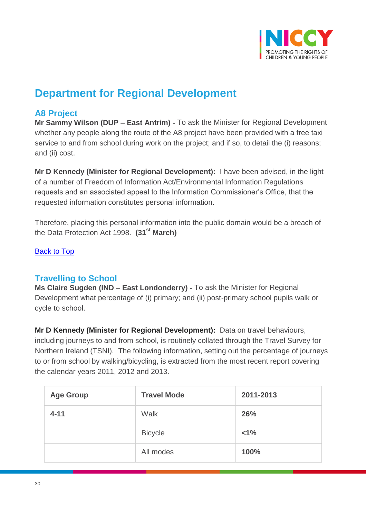

# **Department for Regional Development**

## <span id="page-29-0"></span>**A8 Project**

**Mr Sammy Wilson (DUP – East Antrim) -** To ask the Minister for Regional Development whether any people along the route of the A8 project have been provided with a free taxi service to and from school during work on the project; and if so, to detail the (i) reasons; and (ii) cost.

**Mr D Kennedy (Minister for Regional Development):** I have been advised, in the light of a number of Freedom of Information Act/Environmental Information Regulations requests and an associated appeal to the Information Commissioner's Office, that the requested information constitutes personal information.

Therefore, placing this personal information into the public domain would be a breach of the Data Protection Act 1998. **(31st March)**

[Back to Top](#page-0-0)

## <span id="page-29-1"></span>**Travelling to School**

**Ms Claire Sugden (IND – East Londonderry) -** To ask the Minister for Regional Development what percentage of (i) primary; and (ii) post-primary school pupils walk or cycle to school.

**Mr D Kennedy (Minister for Regional Development):** Data on travel behaviours, including journeys to and from school, is routinely collated through the Travel Survey for Northern Ireland (TSNI). The following information, setting out the percentage of journeys to or from school by walking/bicycling, is extracted from the most recent report covering the calendar years 2011, 2012 and 2013.

| <b>Age Group</b> | <b>Travel Mode</b> | 2011-2013 |
|------------------|--------------------|-----------|
| $4 - 11$         | Walk               | 26%       |
|                  | <b>Bicycle</b>     | $< 1\%$   |
|                  | All modes          | 100%      |